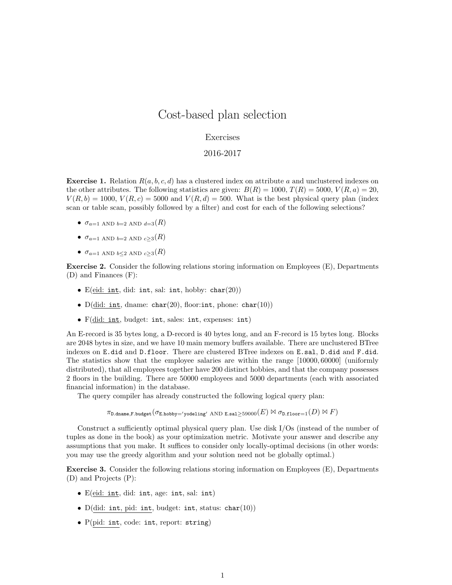## Cost-based plan selection

## Exercises

## 2016-2017

**Exercise 1.** Relation  $R(a, b, c, d)$  has a clustered index on attribute a and unclustered indexes on the other attributes. The following statistics are given:  $B(R) = 1000, T(R) = 5000, V(R, a) = 20$ ,  $V(R, b) = 1000, V(R, c) = 5000$  and  $V(R, d) = 500$ . What is the best physical query plan (index scan or table scan, possibly followed by a filter) and cost for each of the following selections?

- $\sigma_{a=1}$  AND  $_{b=2}$  AND  $_{d=3}(R)$
- $\sigma_{a=1}$  AND  $_{b=2}$  AND  $_{c>3}(R)$
- $\sigma_{a=1}$  and  $_{b\leq2}$  and  $_{c\geq3}(R)$

Exercise 2. Consider the following relations storing information on Employees (E), Departments (D) and Finances (F):

- E(eid: int, did: int, sal: int, hobby: char(20))
- $D(id: int, dname: char(20), floor: int, phone: char(10))$
- F(did: int, budget: int, sales: int, expenses: int)

An E-record is 35 bytes long, a D-record is 40 bytes long, and an F-record is 15 bytes long. Blocks are 2048 bytes in size, and we have 10 main memory buffers available. There are unclustered BTree indexes on E.did and D.floor. There are clustered BTree indexes on E.sal, D.did and F.did. The statistics show that the employee salaries are within the range [10000, 60000] (uniformly distributed), that all employees together have 200 distinct hobbies, and that the company possesses 2 floors in the building. There are 50000 employees and 5000 departments (each with associated financial information) in the database.

The query compiler has already constructed the following logical query plan:

 $\pi_{\texttt{D.dname},\texttt{F.budge}}(\sigma_{\texttt{E.hobby} \to \texttt{yodeling}' \text{ AND E.sal} \geq 59000(E) \bowtie \sigma_{\texttt{D.floor}=1}(D) \bowtie F)$ 

Construct a sufficiently optimal physical query plan. Use disk I/Os (instead of the number of tuples as done in the book) as your optimization metric. Motivate your answer and describe any assumptions that you make. It suffices to consider only locally-optimal decisions (in other words: you may use the greedy algorithm and your solution need not be globally optimal.)

Exercise 3. Consider the following relations storing information on Employees (E), Departments (D) and Projects (P):

- E(eid: int, did: int, age: int, sal: int)
- D(did: int, pid: int, budget: int, status: char(10))
- P(pid: int, code: int, report: string)